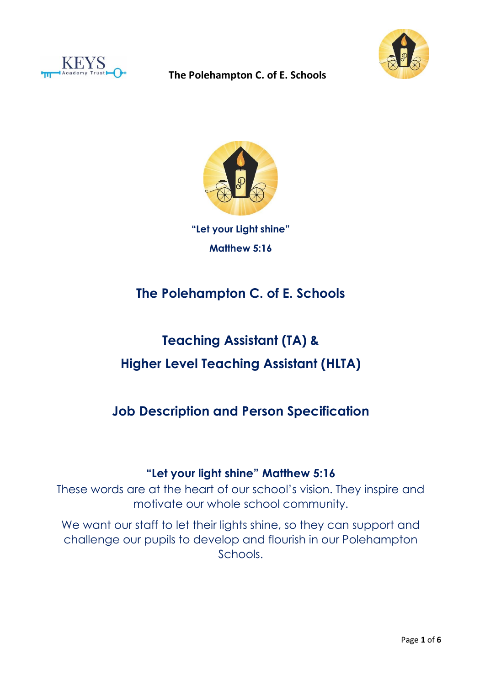





**"Let your Light shine" Matthew 5:16**

# **The Polehampton C. of E. Schools**

# **Teaching Assistant (TA) & Higher Level Teaching Assistant (HLTA)**

## **Job Description and Person Specification**

## **"Let your light shine" Matthew 5:16**

These words are at the heart of our school's vision. They inspire and motivate our whole school community.

We want our staff to let their lights shine, so they can support and challenge our pupils to develop and flourish in our Polehampton Schools.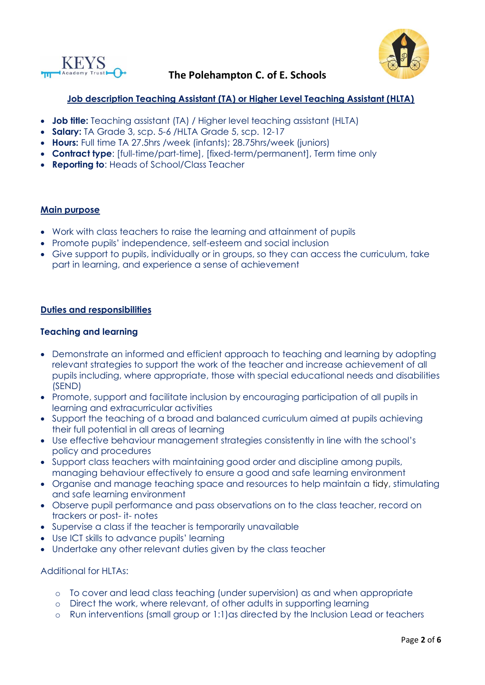



#### **Job description Teaching Assistant (TA) or Higher Level Teaching Assistant (HLTA)**

- **Job title:** Teaching assistant (TA) / Higher level teaching assistant (HLTA)
- **Salary:** TA Grade 3, scp. 5-6 /HLTA Grade 5, scp. 12-17
- **Hours:** Full time TA 27.5hrs /week (infants); 28.75hrs/week (juniors)
- **Contract type**: [full-time/part-time], [fixed-term/permanent], Term time only
- **Reporting to**: Heads of School/Class Teacher

#### **Main purpose**

- Work with class teachers to raise the learning and attainment of pupils
- Promote pupils' independence, self-esteem and social inclusion
- Give support to pupils, individually or in groups, so they can access the curriculum, take part in learning, and experience a sense of achievement

#### **Duties and responsibilities**

#### **Teaching and learning**

- Demonstrate an informed and efficient approach to teaching and learning by adopting relevant strategies to support the work of the teacher and increase achievement of all pupils including, where appropriate, those with special educational needs and disabilities (SEND)
- Promote, support and facilitate inclusion by encouraging participation of all pupils in learning and extracurricular activities
- Support the teaching of a broad and balanced curriculum aimed at pupils achieving their full potential in all areas of learning
- Use effective behaviour management strategies consistently in line with the school's policy and procedures
- Support class teachers with maintaining good order and discipline among pupils, managing behaviour effectively to ensure a good and safe learning environment
- Organise and manage teaching space and resources to help maintain a tidy, stimulating and safe learning environment
- Observe pupil performance and pass observations on to the class teacher, record on trackers or post- it- notes
- Supervise a class if the teacher is temporarily unavailable
- Use ICT skills to advance pupils' learning
- Undertake any other relevant duties given by the class teacher

Additional for HLTAs:

- o To cover and lead class teaching (under supervision) as and when appropriate
- o Direct the work, where relevant, of other adults in supporting learning
- o Run interventions (small group or 1:1)as directed by the Inclusion Lead or teachers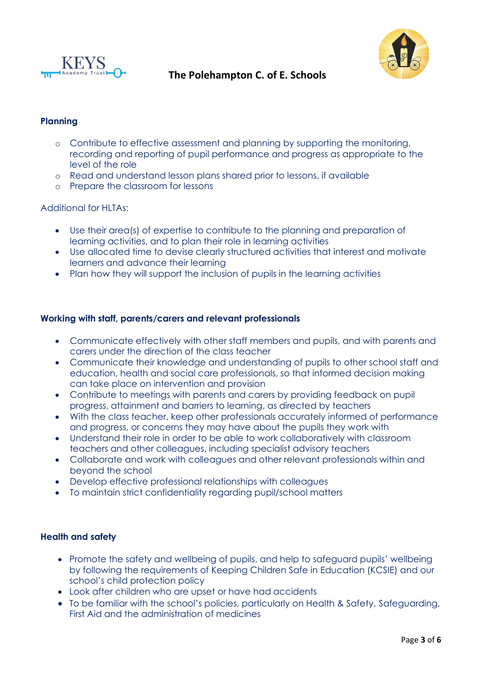



#### **Planning**

- o Contribute to effective assessment and planning by supporting the monitoring, recording and reporting of pupil performance and progress as appropriate to the level of the role
- o Read and understand lesson plans shared prior to lessons, if available
- o Prepare the classroom for lessons

#### Additional for HLTAs:

- Use their area(s) of expertise to contribute to the planning and preparation of learning activities, and to plan their role in learning activities
- Use allocated time to devise clearly structured activities that interest and motivate learners and advance their learning
- Plan how they will support the inclusion of pupils in the learning activities

#### **Working with staff, parents/carers and relevant professionals**

- Communicate effectively with other staff members and pupils, and with parents and carers under the direction of the class teacher
- Communicate their knowledge and understanding of pupils to other school staff and education, health and social care professionals, so that informed decision making can take place on intervention and provision
- Contribute to meetings with parents and carers by providing feedback on pupil progress, attainment and barriers to learning, as directed by teachers
- With the class teacher, keep other professionals accurately informed of performance and progress, or concerns they may have about the pupils they work with
- Understand their role in order to be able to work collaboratively with classroom teachers and other colleagues, including specialist advisory teachers
- Collaborate and work with colleagues and other relevant professionals within and beyond the school
- Develop effective professional relationships with colleagues
- To maintain strict confidentiality regarding pupil/school matters

#### **Health and safety**

- Promote the safety and wellbeing of pupils, and help to safeguard pupils' wellbeing by following the requirements of Keeping Children Safe in Education (KCSIE) and our school's child protection policy
- Look after children who are upset or have had accidents
- To be familiar with the school's policies, particularly on Health & Safety, Safeguarding, First Aid and the administration of medicines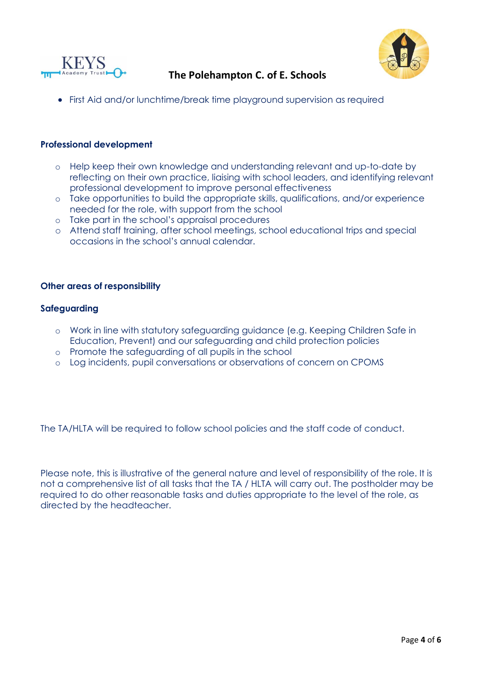





• First Aid and/or lunchtime/break time playground supervision as required

#### **Professional development**

- o Help keep their own knowledge and understanding relevant and up-to-date by reflecting on their own practice, liaising with school leaders, and identifying relevant professional development to improve personal effectiveness
- o Take opportunities to build the appropriate skills, qualifications, and/or experience needed for the role, with support from the school
- o Take part in the school's appraisal procedures
- o Attend staff training, after school meetings, school educational trips and special occasions in the school's annual calendar.

#### **Other areas of responsibility**

#### **Safeguarding**

- o Work in line with statutory safeguarding guidance (e.g. Keeping Children Safe in Education, Prevent) and our safeguarding and child protection policies
- o Promote the safeguarding of all pupils in the school
- o Log incidents, pupil conversations or observations of concern on CPOMS

The TA/HLTA will be required to follow school policies and the staff code of conduct.

Please note, this is illustrative of the general nature and level of responsibility of the role. It is not a comprehensive list of all tasks that the TA / HLTA will carry out. The postholder may be required to do other reasonable tasks and duties appropriate to the level of the role, as directed by the headteacher.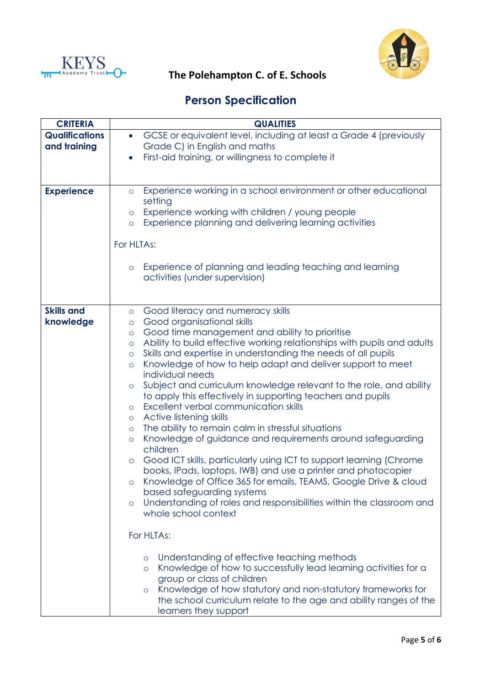



# **KEYS**<br>The Polehampton C. of E. Schools

## **Person Specification**

| <b>CRITERIA</b>       | <b>QUALITIES</b>                                                                   |  |  |
|-----------------------|------------------------------------------------------------------------------------|--|--|
| <b>Qualifications</b> | GCSE or equivalent level, including at least a Grade 4 (previously<br>$\bullet$    |  |  |
| and training          | Grade C) in English and maths                                                      |  |  |
|                       | First-aid training, or willingness to complete it<br>$\bullet$                     |  |  |
|                       |                                                                                    |  |  |
|                       |                                                                                    |  |  |
| <b>Experience</b>     | Experience working in a school environment or other educational<br>$\circ$         |  |  |
|                       | setting                                                                            |  |  |
|                       | Experience working with children / young people<br>$\circ$                         |  |  |
|                       | Experience planning and delivering learning activities<br>$\circ$                  |  |  |
|                       |                                                                                    |  |  |
|                       | For HLTAs:                                                                         |  |  |
|                       |                                                                                    |  |  |
|                       | Experience of planning and leading teaching and learning<br>$\circ$                |  |  |
|                       | activities (under supervision)                                                     |  |  |
|                       |                                                                                    |  |  |
|                       |                                                                                    |  |  |
| <b>Skills and</b>     | Good literacy and numeracy skills<br>$\circ$                                       |  |  |
| knowledge             | Good organisational skills<br>$\circ$                                              |  |  |
|                       | Good time management and ability to prioritise<br>$\circ$                          |  |  |
|                       | Ability to build effective working relationships with pupils and adults<br>$\circ$ |  |  |
|                       | Skills and expertise in understanding the needs of all pupils<br>$\circ$           |  |  |
|                       | Knowledge of how to help adapt and deliver support to meet<br>$\circ$              |  |  |
|                       | individual needs                                                                   |  |  |
|                       | Subject and curriculum knowledge relevant to the role, and ability<br>$\circ$      |  |  |
|                       | to apply this effectively in supporting teachers and pupils                        |  |  |
|                       | Excellent verbal communication skills<br>$\circ$                                   |  |  |
|                       | Active listening skills<br>$\circ$                                                 |  |  |
|                       | The ability to remain calm in stressful situations<br>$\circ$                      |  |  |
|                       | Knowledge of guidance and requirements around safeguarding<br>$\circ$<br>children  |  |  |
|                       | Good ICT skills, particularly using ICT to support learning (Chrome                |  |  |
|                       | $\circ$<br>books, IPads, laptops, IWB) and use a printer and photocopier           |  |  |
|                       | Knowledge of Office 365 for emails, TEAMS, Google Drive & cloud                    |  |  |
|                       | based safeguarding systems                                                         |  |  |
|                       | Understanding of roles and responsibilities within the classroom and<br>$\circ$    |  |  |
|                       | whole school context                                                               |  |  |
|                       |                                                                                    |  |  |
|                       | For HLTAs:                                                                         |  |  |
|                       |                                                                                    |  |  |
|                       | Understanding of effective teaching methods<br>$\circ$                             |  |  |
|                       | Knowledge of how to successfully lead learning activities for a<br>$\circ$         |  |  |
|                       | group or class of children                                                         |  |  |
|                       | Knowledge of how statutory and non-statutory frameworks for<br>$\circ$             |  |  |
|                       | the school curriculum relate to the age and ability ranges of the                  |  |  |
|                       | learners they support                                                              |  |  |